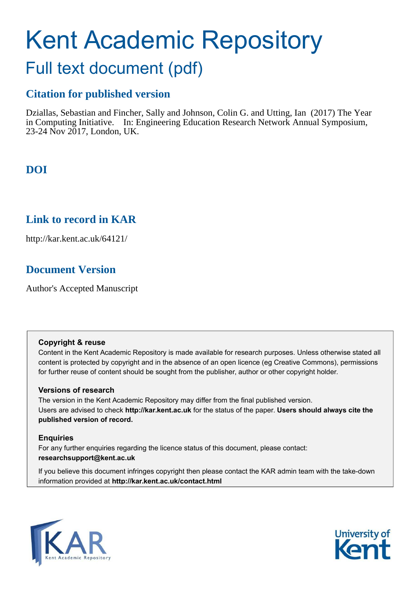# Kent Academic Repository

## Full text document (pdf)

## **Citation for published version**

Dziallas, Sebastian and Fincher, Sally and Johnson, Colin G. and Utting, Ian (2017) The Year in Computing Initiative. In: Engineering Education Research Network Annual Symposium, 23-24 Nov 2017, London, UK.

## **DOI**

## **Link to record in KAR**

http://kar.kent.ac.uk/64121/

## **Document Version**

Author's Accepted Manuscript

#### **Copyright & reuse**

Content in the Kent Academic Repository is made available for research purposes. Unless otherwise stated all content is protected by copyright and in the absence of an open licence (eg Creative Commons), permissions for further reuse of content should be sought from the publisher, author or other copyright holder.

#### **Versions of research**

The version in the Kent Academic Repository may differ from the final published version. Users are advised to check **http://kar.kent.ac.uk** for the status of the paper. **Users should always cite the published version of record.**

#### **Enquiries**

For any further enquiries regarding the licence status of this document, please contact: **researchsupport@kent.ac.uk**

If you believe this document infringes copyright then please contact the KAR admin team with the take-down information provided at **http://kar.kent.ac.uk/contact.html**



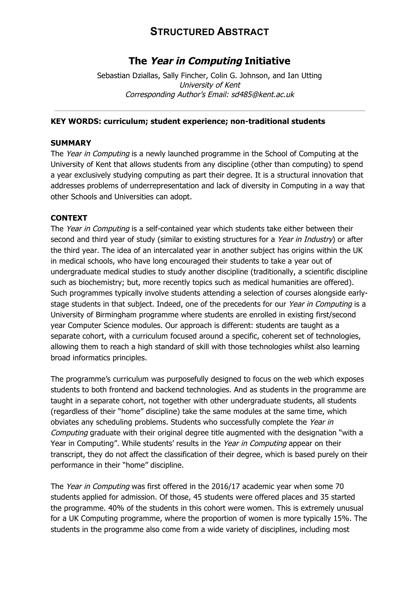## **STRUCTURED ABSTRACT**

### **The Year in Computing Initiative**

Sebastian Dziallas, Sally Fincher, Colin G. Johnson, and Ian Utting University of Kent Corresponding Author's Email: sd485@kent.ac.uk

#### **KEY WORDS: curriculum; student experience; non-traditional students**

#### **SUMMARY**

The *Year in Computing* is a newly launched programme in the School of Computing at the University of Kent that allows students from any discipline (other than computing) to spend a year exclusively studying computing as part their degree. It is a structural innovation that addresses problems of underrepresentation and lack of diversity in Computing in a way that other Schools and Universities can adopt.

#### **CONTEXT**

The Year in Computing is a self-contained year which students take either between their second and third year of study (similar to existing structures for a Year in Industry) or after the third year. The idea of an intercalated year in another subject has origins within the UK in medical schools, who have long encouraged their students to take a year out of undergraduate medical studies to study another discipline (traditionally, a scientific discipline such as biochemistry; but, more recently topics such as medical humanities are offered). Such programmes typically involve students attending a selection of courses alongside earlystage students in that subject. Indeed, one of the precedents for our Year in Computing is a University of Birmingham programme where students are enrolled in existing first/second year Computer Science modules. Our approach is different: students are taught as a separate cohort, with a curriculum focused around a specific, coherent set of technologies, allowing them to reach a high standard of skill with those technologies whilst also learning broad informatics principles.

The programme's curriculum was purposefully designed to focus on the web which exposes students to both frontend and backend technologies. And as students in the programme are taught in a separate cohort, not together with other undergraduate students, all students (regardless of their "home" discipline) take the same modules at the same time, which obviates any scheduling problems. Students who successfully complete the Year in Computing graduate with their original degree title augmented with the designation "with a Year in Computing". While students' results in the Year in Computing appear on their transcript, they do not affect the classification of their degree, which is based purely on their performance in their "home" discipline.

The Year in Computing was first offered in the 2016/17 academic year when some 70 students applied for admission. Of those, 45 students were offered places and 35 started the programme. 40% of the students in this cohort were women. This is extremely unusual for a UK Computing programme, where the proportion of women is more typically 15%. The students in the programme also come from a wide variety of disciplines, including most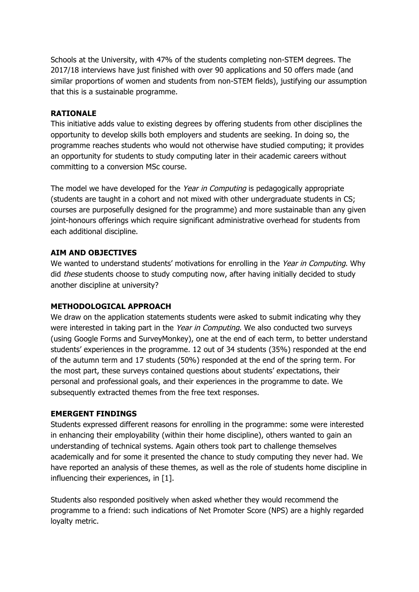Schools at the University, with 47% of the students completing non-STEM degrees. The 2017/18 interviews have just finished with over 90 applications and 50 offers made (and similar proportions of women and students from non-STEM fields), justifying our assumption that this is a sustainable programme.

#### **RATIONALE**

This initiative adds value to existing degrees by offering students from other disciplines the opportunity to develop skills both employers and students are seeking. In doing so, the programme reaches students who would not otherwise have studied computing; it provides an opportunity for students to study computing later in their academic careers without committing to a conversion MSc course.

The model we have developed for the Year in Computing is pedagogically appropriate (students are taught in a cohort and not mixed with other undergraduate students in CS; courses are purposefully designed for the programme) and more sustainable than any given joint-honours offerings which require significant administrative overhead for students from each additional discipline.

#### **AIM AND OBJECTIVES**

We wanted to understand students' motivations for enrolling in the Year in Computing. Why did *these* students choose to study computing now, after having initially decided to study another discipline at university?

#### **METHODOLOGICAL APPROACH**

We draw on the application statements students were asked to submit indicating why they were interested in taking part in the Year in Computing. We also conducted two surveys (using Google Forms and SurveyMonkey), one at the end of each term, to better understand students' experiences in the programme. 12 out of 34 students (35%) responded at the end of the autumn term and 17 students (50%) responded at the end of the spring term. For the most part, these surveys contained questions about students' expectations, their personal and professional goals, and their experiences in the programme to date. We subsequently extracted themes from the free text responses.

#### **EMERGENT FINDINGS**

Students expressed different reasons for enrolling in the programme: some were interested in enhancing their employability (within their home discipline), others wanted to gain an understanding of technical systems. Again others took part to challenge themselves academically and for some it presented the chance to study computing they never had. We have reported an analysis of these themes, as well as the role of students home discipline in influencing their experiences, in [1].

Students also responded positively when asked whether they would recommend the programme to a friend: such indications of Net Promoter Score (NPS) are a highly regarded loyalty metric.